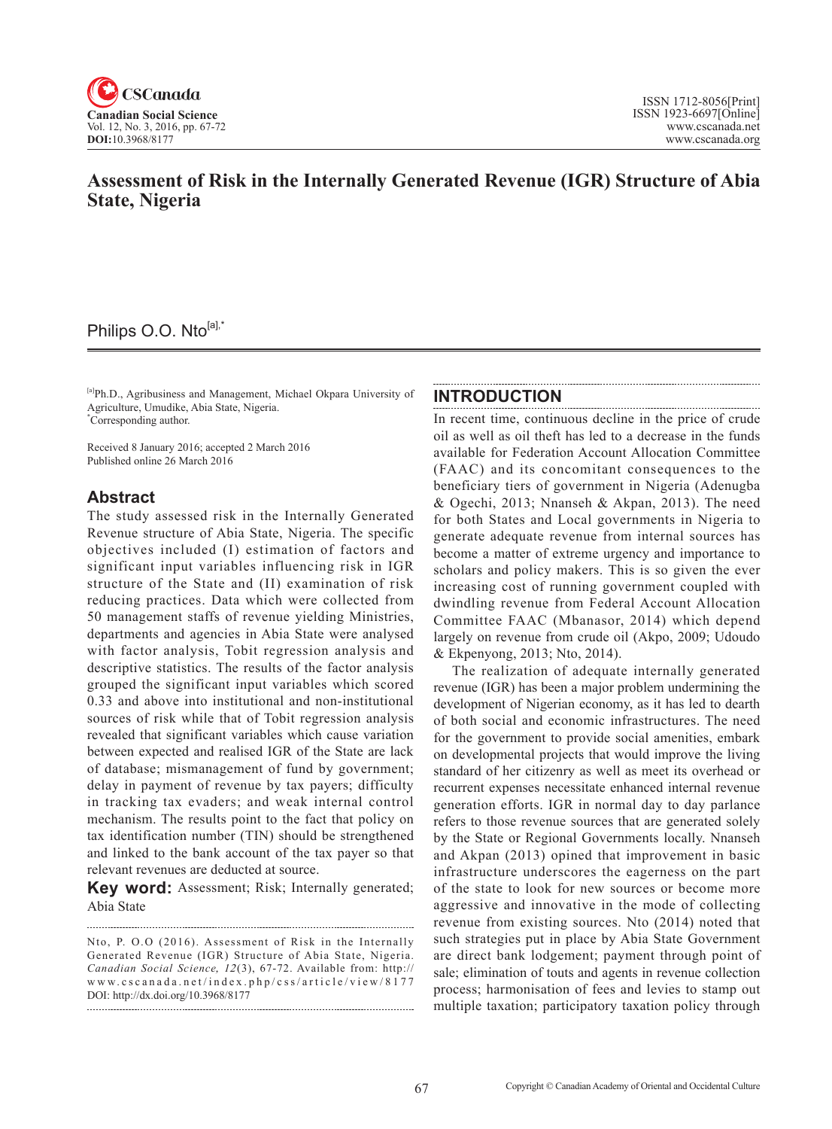

# **Assessment of Risk in the Internally Generated Revenue (IGR) Structure of Abia State, Nigeria**

# Philips O.O. Nto<sup>[a],\*</sup>

[a]Ph.D., Agribusiness and Management, Michael Okpara University of Agriculture, Umudike, Abia State, Nigeria. \* Corresponding author.

Received 8 January 2016; accepted 2 March 2016 Published online 26 March 2016

### **Abstract**

The study assessed risk in the Internally Generated Revenue structure of Abia State, Nigeria. The specific objectives included (I) estimation of factors and significant input variables influencing risk in IGR structure of the State and (II) examination of risk reducing practices. Data which were collected from 50 management staffs of revenue yielding Ministries, departments and agencies in Abia State were analysed with factor analysis, Tobit regression analysis and descriptive statistics. The results of the factor analysis grouped the significant input variables which scored 0.33 and above into institutional and non-institutional sources of risk while that of Tobit regression analysis revealed that significant variables which cause variation between expected and realised IGR of the State are lack of database; mismanagement of fund by government; delay in payment of revenue by tax payers; difficulty in tracking tax evaders; and weak internal control mechanism. The results point to the fact that policy on tax identification number (TIN) should be strengthened and linked to the bank account of the tax payer so that relevant revenues are deducted at source.

**Key word:** Assessment; Risk; Internally generated; Abia State

### **INTRODUCTION**

In recent time, continuous decline in the price of crude oil as well as oil theft has led to a decrease in the funds available for Federation Account Allocation Committee (FAAC) and its concomitant consequences to the beneficiary tiers of government in Nigeria (Adenugba & Ogechi, 2013; Nnanseh & Akpan, 2013). The need for both States and Local governments in Nigeria to generate adequate revenue from internal sources has become a matter of extreme urgency and importance to scholars and policy makers. This is so given the ever increasing cost of running government coupled with dwindling revenue from Federal Account Allocation Committee FAAC (Mbanasor, 2014) which depend largely on revenue from crude oil (Akpo, 2009; Udoudo & Ekpenyong, 2013; Nto, 2014).

The realization of adequate internally generated revenue (IGR) has been a major problem undermining the development of Nigerian economy, as it has led to dearth of both social and economic infrastructures. The need for the government to provide social amenities, embark on developmental projects that would improve the living standard of her citizenry as well as meet its overhead or recurrent expenses necessitate enhanced internal revenue generation efforts. IGR in normal day to day parlance refers to those revenue sources that are generated solely by the State or Regional Governments locally. Nnanseh and Akpan (2013) opined that improvement in basic infrastructure underscores the eagerness on the part of the state to look for new sources or become more aggressive and innovative in the mode of collecting revenue from existing sources. Nto (2014) noted that such strategies put in place by Abia State Government are direct bank lodgement; payment through point of sale; elimination of touts and agents in revenue collection process; harmonisation of fees and levies to stamp out multiple taxation; participatory taxation policy through

Nto, P. O.O (2016). Assessment of Risk in the Internally Generated Revenue (IGR) Structure of Abia State, Nigeria. *Canadian Social Science*, <sup>12</sup> (3), 67-72. Available from: http:// www.cscanada.net/index.php/css/article/view/8177 DOI: http://dx.doi.org/10.3968/8177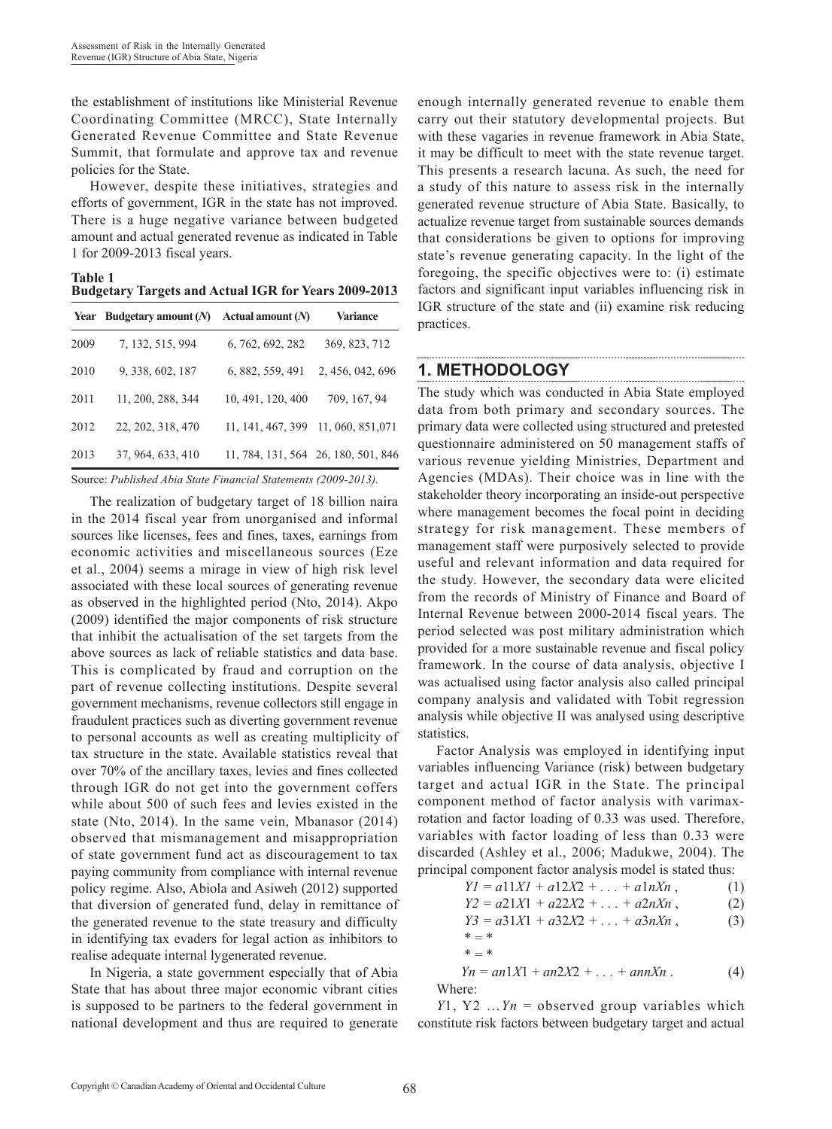the establishment of institutions like Ministerial Revenue Coordinating Committee (MRCC), State Internally Generated Revenue Committee and State Revenue Summit, that formulate and approve tax and revenue policies for the State.

However, despite these initiatives, strategies and efforts of government, IGR in the state has not improved. There is a huge negative variance between budgeted amount and actual generated revenue as indicated in Table 1 for 2009-2013 fiscal years.

**Table 1 Budgetary Targets and Actual IGR for Years 2009-2013**

|      | Year Budgetary amount $(N)$ | Actual amount $(N)$ | <b>Variance</b>                     |
|------|-----------------------------|---------------------|-------------------------------------|
| 2009 | 7, 132, 515, 994            | 6, 762, 692, 282    | 369, 823, 712                       |
| 2010 | 9, 338, 602, 187            | 6, 882, 559, 491    | 2, 456, 042, 696                    |
| 2011 | 11, 200, 288, 344           | 10, 491, 120, 400   | 709, 167, 94                        |
| 2012 | 22, 202, 318, 470           | 11, 141, 467, 399   | 11, 060, 851, 071                   |
| 2013 | 37, 964, 633, 410           |                     | 11, 784, 131, 564 26, 180, 501, 846 |

Source: *Published Abia State Financial Statements (2009-2013).*

The realization of budgetary target of 18 billion naira in the 2014 fiscal year from unorganised and informal sources like licenses, fees and fines, taxes, earnings from economic activities and miscellaneous sources (Eze et al., 2004) seems a mirage in view of high risk level associated with these local sources of generating revenue as observed in the highlighted period (Nto, 2014). Akpo (2009) identified the major components of risk structure that inhibit the actualisation of the set targets from the above sources as lack of reliable statistics and data base. This is complicated by fraud and corruption on the part of revenue collecting institutions. Despite several government mechanisms, revenue collectors still engage in fraudulent practices such as diverting government revenue to personal accounts as well as creating multiplicity of tax structure in the state. Available statistics reveal that over 70% of the ancillary taxes, levies and fines collected through IGR do not get into the government coffers while about 500 of such fees and levies existed in the state (Nto, 2014). In the same vein, Mbanasor (2014) observed that mismanagement and misappropriation of state government fund act as discouragement to tax paying community from compliance with internal revenue policy regime. Also, Abiola and Asiweh (2012) supported that diversion of generated fund, delay in remittance of the generated revenue to the state treasury and difficulty in identifying tax evaders for legal action as inhibitors to realise adequate internal lygenerated revenue.

In Nigeria, a state government especially that of Abia State that has about three major economic vibrant cities is supposed to be partners to the federal government in national development and thus are required to generate enough internally generated revenue to enable them carry out their statutory developmental projects. But with these vagaries in revenue framework in Abia State, it may be difficult to meet with the state revenue target. This presents a research lacuna. As such, the need for a study of this nature to assess risk in the internally generated revenue structure of Abia State. Basically, to actualize revenue target from sustainable sources demands that considerations be given to options for improving state's revenue generating capacity. In the light of the foregoing, the specific objectives were to: (i) estimate factors and significant input variables influencing risk in IGR structure of the state and (ii) examine risk reducing practices.

## **1. METHODOLOGY**

The study which was conducted in Abia State employed data from both primary and secondary sources. The primary data were collected using structured and pretested questionnaire administered on 50 management staffs of various revenue yielding Ministries, Department and Agencies (MDAs). Their choice was in line with the stakeholder theory incorporating an inside-out perspective where management becomes the focal point in deciding strategy for risk management. These members of management staff were purposively selected to provide useful and relevant information and data required for the study. However, the secondary data were elicited from the records of Ministry of Finance and Board of Internal Revenue between 2000-2014 fiscal years. The period selected was post military administration which provided for a more sustainable revenue and fiscal policy framework. In the course of data analysis, objective I was actualised using factor analysis also called principal company analysis and validated with Tobit regression analysis while objective II was analysed using descriptive statistics.

Factor Analysis was employed in identifying input variables influencing Variance (risk) between budgetary target and actual IGR in the State. The principal component method of factor analysis with varimaxrotation and factor loading of 0.33 was used. Therefore, variables with factor loading of less than 0.33 were discarded (Ashley et al., 2006; Madukwe, 2004). The principal component factor analysis model is stated thus:

| $Yl = a11Xl + a12X2 +  + a1nXn$ , | (1) |
|-----------------------------------|-----|
| $Y2 = a21X1 + a22X2 +  + a2nXn$ , | (2) |
| $Y3 = a31X1 + a32X2 +  + a3nXn$ , | (3) |
| $* = *$                           |     |
| $* - *$                           |     |
|                                   |     |

$$
Yn = an1X1 + an2X2 + \dots + annXn
$$
 (4)  
Where:

*Y*1, Y2 …*Yn* = observed group variables which constitute risk factors between budgetary target and actual

 $W$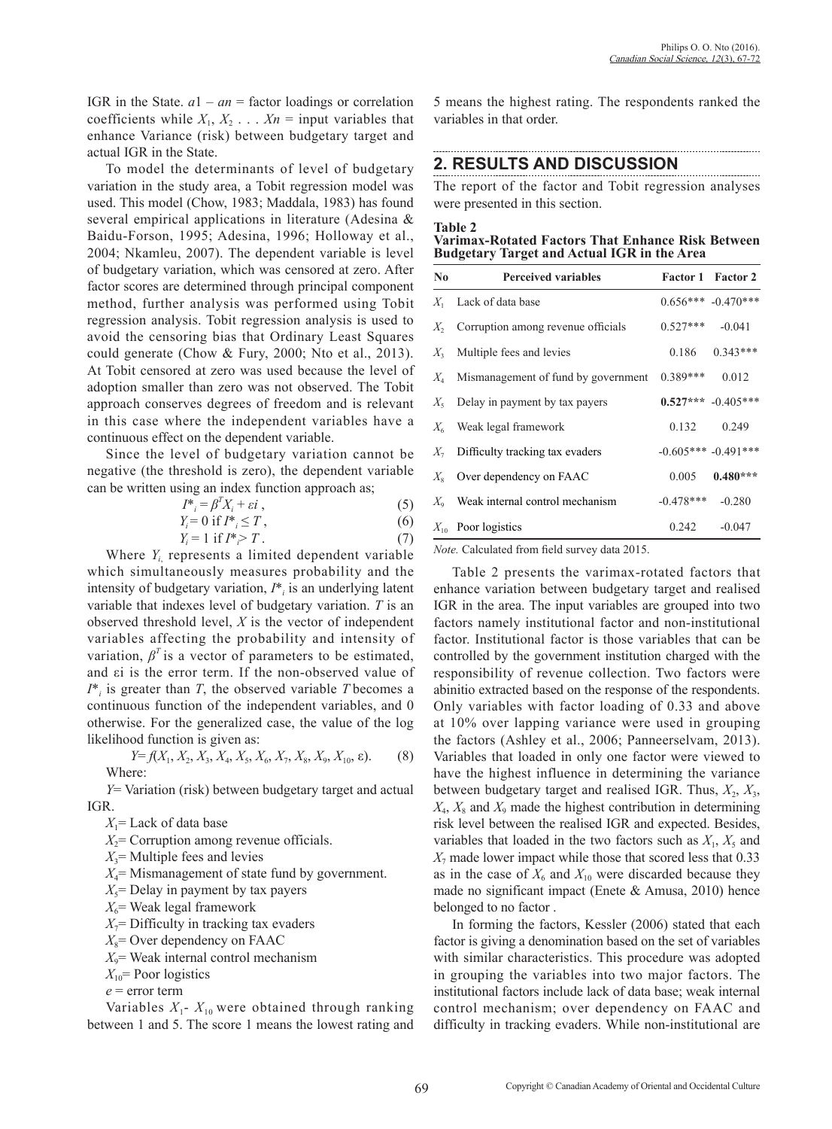IGR in the State.  $a1 - an =$  factor loadings or correlation coefficients while  $X_1, X_2, \ldots, X_n$  = input variables that enhance Variance (risk) between budgetary target and actual IGR in the State.

To model the determinants of level of budgetary variation in the study area, a Tobit regression model was used. This model (Chow, 1983; Maddala, 1983) has found several empirical applications in literature (Adesina & Baidu-Forson, 1995; Adesina, 1996; Holloway et al., 2004; Nkamleu, 2007). The dependent variable is level of budgetary variation, which was censored at zero. After factor scores are determined through principal component method, further analysis was performed using Tobit regression analysis. Tobit regression analysis is used to avoid the censoring bias that Ordinary Least Squares could generate (Chow & Fury, 2000; Nto et al., 2013). At Tobit censored at zero was used because the level of adoption smaller than zero was not observed. The Tobit approach conserves degrees of freedom and is relevant in this case where the independent variables have a continuous effect on the dependent variable.

Since the level of budgetary variation cannot be negative (the threshold is zero), the dependent variable can be written using an index function approach as;

$$
I^*_{i} = \beta^T X_i + \varepsilon i \tag{5}
$$

$$
Y_i = 0 \text{ if } I^*_{i} \le T , \tag{6}
$$

$$
Y_i = 1 \text{ if } I^* \ge T. \tag{7}
$$

Where  $Y_{i}$  represents a limited dependent variable which simultaneously measures probability and the intensity of budgetary variation, *I*\**<sup>i</sup>* is an underlying latent variable that indexes level of budgetary variation. *T* is an observed threshold level, *X* is the vector of independent variables affecting the probability and intensity of variation,  $\beta^T$  is a vector of parameters to be estimated, and εi is the error term. If the non-observed value of *I*\**i* is greater than *T*, the observed variable *T* becomes a continuous function of the independent variables, and 0 otherwise. For the generalized case, the value of the log likelihood function is given as:

$$
Y=f(X_1, X_2, X_3, X_4, X_5, X_6, X_7, X_8, X_9, X_{10}, \varepsilon).
$$
 (8) Where:

*Y*= Variation (risk) between budgetary target and actual IGR.

*X*1= Lack of data base

 $X_2$ = Corruption among revenue officials.

 $X_3$ = Multiple fees and levies

*X*4= Mismanagement of state fund by government.

 $X_5$ = Delay in payment by tax payers

 $X_6$ = Weak legal framework

 $X_7$ = Difficulty in tracking tax evaders

 $X_8$ = Over dependency on FAAC

 $X_9$ = Weak internal control mechanism

 $X_{10}$ = Poor logistics

*e* = error term

Variables  $X_1$ -  $X_{10}$  were obtained through ranking between 1 and 5. The score 1 means the lowest rating and 5 means the highest rating. The respondents ranked the variables in that order.

# **2. RESULTS AND DISCUSSION**

The report of the factor and Tobit regression analyses were presented in this section.

#### **Table 2**

**Varimax-Rotated Factors That Enhance Risk Between Budgetary Target and Actual IGR in the Area**

| <b>Perceived variables</b><br>$\bf No$    |             | <b>Factor 1 Factor 2</b> |
|-------------------------------------------|-------------|--------------------------|
| $X_1$ Lack of data base                   |             | $0.656***$ -0.470***     |
| $X_2$ Corruption among revenue officials  | $0.527***$  | $-0.041$                 |
| $X_3$ Multiple fees and levies            |             | $0.186$ $0.343***$       |
| $X_4$ Mismanagement of fund by government | $0.389***$  | 0.012                    |
| $X_5$ Delay in payment by tax payers      |             | $0.527***$ -0.405***     |
| $X_6$ Weak legal framework                |             | $0.132$ $0.249$          |
| $X_7$ Difficulty tracking tax evaders     |             | $-0.605***$ $-0.491***$  |
| $X_{\rm s}$ Over dependency on FAAC       | 0.005       | $0.480***$               |
| $X_0$ Weak internal control mechanism     | $-0.478***$ | $-0.280$                 |
| $X_{10}$ Poor logistics                   | 0.242       | $-0.047$                 |

*Note.* Calculated from field survey data 2015.

Table 2 presents the varimax-rotated factors that enhance variation between budgetary target and realised IGR in the area. The input variables are grouped into two factors namely institutional factor and non-institutional factor. Institutional factor is those variables that can be controlled by the government institution charged with the responsibility of revenue collection. Two factors were abinitio extracted based on the response of the respondents. Only variables with factor loading of 0.33 and above at 10% over lapping variance were used in grouping the factors (Ashley et al., 2006; Panneerselvam, 2013). Variables that loaded in only one factor were viewed to have the highest influence in determining the variance between budgetary target and realised IGR. Thus,  $X_2$ ,  $X_3$ ,  $X_4$ ,  $X_8$  and  $X_9$  made the highest contribution in determining risk level between the realised IGR and expected. Besides, variables that loaded in the two factors such as  $X_1, X_5$  and  $X_7$  made lower impact while those that scored less that 0.33 as in the case of  $X_6$  and  $X_{10}$  were discarded because they made no significant impact (Enete & Amusa, 2010) hence belonged to no factor .

In forming the factors, Kessler (2006) stated that each factor is giving a denomination based on the set of variables with similar characteristics. This procedure was adopted in grouping the variables into two major factors. The institutional factors include lack of data base; weak internal control mechanism; over dependency on FAAC and difficulty in tracking evaders. While non-institutional are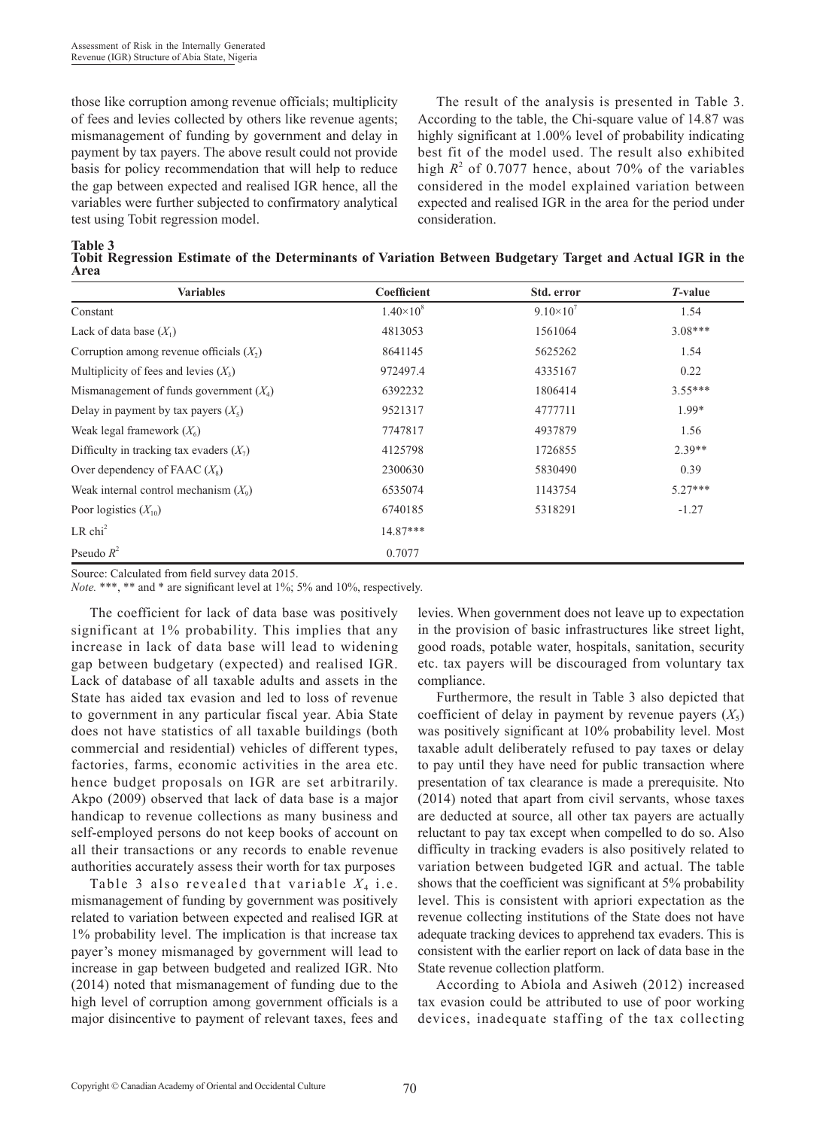those like corruption among revenue officials; multiplicity of fees and levies collected by others like revenue agents; mismanagement of funding by government and delay in payment by tax payers. The above result could not provide basis for policy recommendation that will help to reduce the gap between expected and realised IGR hence, all the variables were further subjected to confirmatory analytical test using Tobit regression model.

The result of the analysis is presented in Table 3. According to the table, the Chi-square value of 14.87 was highly significant at 1.00% level of probability indicating best fit of the model used. The result also exhibited high  $R^2$  of 0.7077 hence, about 70% of the variables considered in the model explained variation between expected and realised IGR in the area for the period under consideration.

**Table 3** 

**Tobit Regression Estimate of the Determinants of Variation Between Budgetary Target and Actual IGR in the Area**

| <b>Variables</b>                           | Coefficient        | Std. error         | <i>T</i> -value |
|--------------------------------------------|--------------------|--------------------|-----------------|
| Constant                                   | $1.40\times10^{8}$ | $9.10\times10^{7}$ | 1.54            |
| Lack of data base $(X_1)$                  | 4813053            | 1561064            | $3.08***$       |
| Corruption among revenue officials $(X_2)$ | 8641145            | 5625262            | 1.54            |
| Multiplicity of fees and levies $(X_3)$    | 972497.4           | 4335167            | 0.22            |
| Mismanagement of funds government $(X_4)$  | 6392232            | 1806414            | $3.55***$       |
| Delay in payment by tax payers $(X_5)$     | 9521317            | 4777711            | 1.99*           |
| Weak legal framework $(X_6)$               | 7747817            | 4937879            | 1.56            |
| Difficulty in tracking tax evaders $(X_7)$ | 4125798            | 1726855            | $2.39**$        |
| Over dependency of FAAC $(X_s)$            | 2300630            | 5830490            | 0.39            |
| Weak internal control mechanism $(X_9)$    | 6535074            | 1143754            | $5.27***$       |
| Poor logistics $(X_{10})$                  | 6740185            | 5318291            | $-1.27$         |
| $LR$ chi <sup>2</sup>                      | $14.87***$         |                    |                 |
| Pseudo $R^2$                               | 0.7077             |                    |                 |

Source: Calculated from field survey data 2015.

*Note.* \*\*\*, \*\* and \* are significant level at 1%; 5% and 10%, respectively.

The coefficient for lack of data base was positively significant at 1% probability. This implies that any increase in lack of data base will lead to widening gap between budgetary (expected) and realised IGR. Lack of database of all taxable adults and assets in the State has aided tax evasion and led to loss of revenue to government in any particular fiscal year. Abia State does not have statistics of all taxable buildings (both commercial and residential) vehicles of different types, factories, farms, economic activities in the area etc. hence budget proposals on IGR are set arbitrarily. Akpo (2009) observed that lack of data base is a major handicap to revenue collections as many business and self-employed persons do not keep books of account on all their transactions or any records to enable revenue authorities accurately assess their worth for tax purposes

Table 3 also revealed that variable  $X_4$  i.e. mismanagement of funding by government was positively related to variation between expected and realised IGR at 1% probability level. The implication is that increase tax payer's money mismanaged by government will lead to increase in gap between budgeted and realized IGR. Nto (2014) noted that mismanagement of funding due to the high level of corruption among government officials is a major disincentive to payment of relevant taxes, fees and

levies. When government does not leave up to expectation in the provision of basic infrastructures like street light, good roads, potable water, hospitals, sanitation, security etc. tax payers will be discouraged from voluntary tax compliance.

Furthermore, the result in Table 3 also depicted that coefficient of delay in payment by revenue payers  $(X_5)$ was positively significant at 10% probability level. Most taxable adult deliberately refused to pay taxes or delay to pay until they have need for public transaction where presentation of tax clearance is made a prerequisite. Nto (2014) noted that apart from civil servants, whose taxes are deducted at source, all other tax payers are actually reluctant to pay tax except when compelled to do so. Also difficulty in tracking evaders is also positively related to variation between budgeted IGR and actual. The table shows that the coefficient was significant at 5% probability level. This is consistent with apriori expectation as the revenue collecting institutions of the State does not have adequate tracking devices to apprehend tax evaders. This is consistent with the earlier report on lack of data base in the State revenue collection platform.

According to Abiola and Asiweh (2012) increased tax evasion could be attributed to use of poor working devices, inadequate staffing of the tax collecting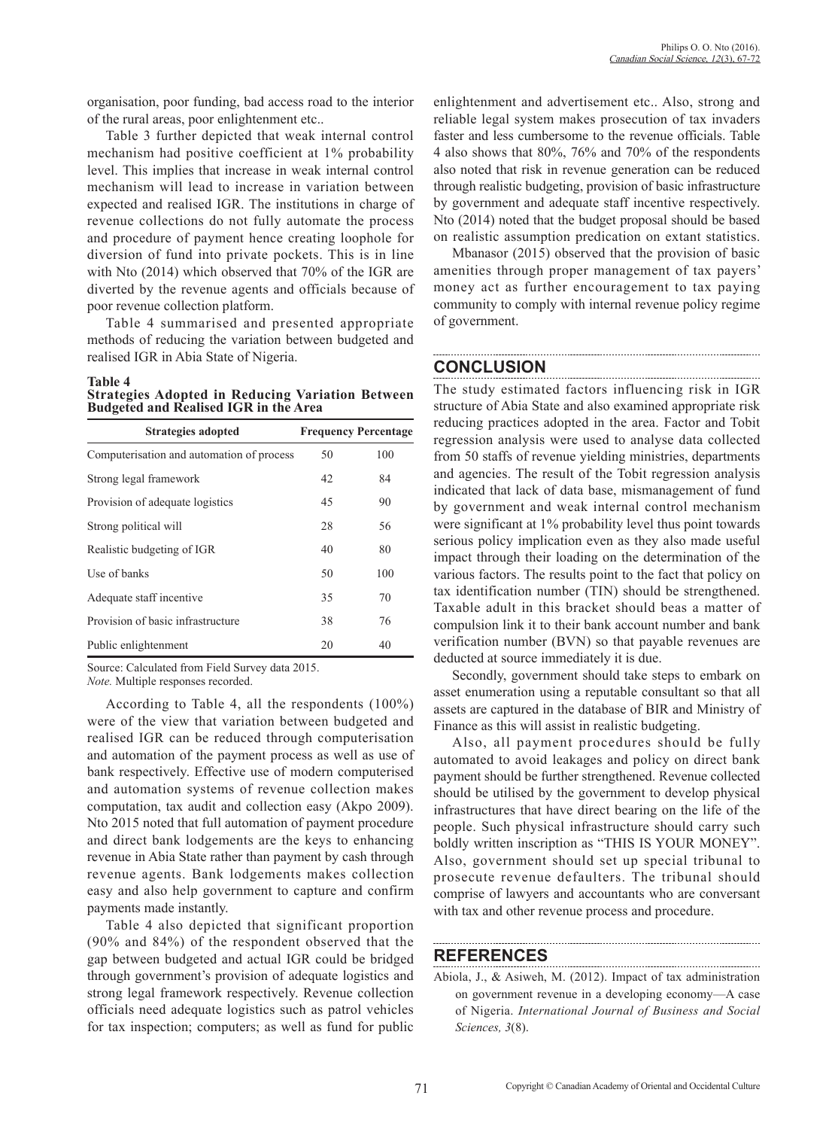organisation, poor funding, bad access road to the interior of the rural areas, poor enlightenment etc..

Table 3 further depicted that weak internal control mechanism had positive coefficient at 1% probability level. This implies that increase in weak internal control mechanism will lead to increase in variation between expected and realised IGR. The institutions in charge of revenue collections do not fully automate the process and procedure of payment hence creating loophole for diversion of fund into private pockets. This is in line with Nto (2014) which observed that 70% of the IGR are diverted by the revenue agents and officials because of poor revenue collection platform.

Table 4 summarised and presented appropriate methods of reducing the variation between budgeted and realised IGR in Abia State of Nigeria.

### **Table 4**

**Strategies Adopted in Reducing Variation Between Budgeted and Realised IGR in the Area**

| Strategies adopted                        |    | <b>Frequency Percentage</b> |
|-------------------------------------------|----|-----------------------------|
| Computerisation and automation of process | 50 | 100                         |
| Strong legal framework                    | 42 | 84                          |
| Provision of adequate logistics           | 45 | 90                          |
| Strong political will                     | 28 | 56                          |
| Realistic budgeting of IGR                | 40 | 80                          |
| Use of banks                              | 50 | 100                         |
| Adequate staff incentive                  | 35 | 70                          |
| Provision of basic infrastructure         | 38 | 76                          |
| Public enlightenment                      | 20 | 40                          |

Source: Calculated from Field Survey data 2015.

*Note.* Multiple responses recorded.

According to Table 4, all the respondents (100%) were of the view that variation between budgeted and realised IGR can be reduced through computerisation and automation of the payment process as well as use of bank respectively. Effective use of modern computerised and automation systems of revenue collection makes computation, tax audit and collection easy (Akpo 2009). Nto 2015 noted that full automation of payment procedure and direct bank lodgements are the keys to enhancing revenue in Abia State rather than payment by cash through revenue agents. Bank lodgements makes collection easy and also help government to capture and confirm payments made instantly.

Table 4 also depicted that significant proportion (90% and 84%) of the respondent observed that the gap between budgeted and actual IGR could be bridged through government's provision of adequate logistics and strong legal framework respectively. Revenue collection officials need adequate logistics such as patrol vehicles for tax inspection; computers; as well as fund for public enlightenment and advertisement etc.. Also, strong and reliable legal system makes prosecution of tax invaders faster and less cumbersome to the revenue officials. Table 4 also shows that 80%, 76% and 70% of the respondents also noted that risk in revenue generation can be reduced through realistic budgeting, provision of basic infrastructure by government and adequate staff incentive respectively. Nto (2014) noted that the budget proposal should be based on realistic assumption predication on extant statistics.

Mbanasor (2015) observed that the provision of basic amenities through proper management of tax payers' money act as further encouragement to tax paying community to comply with internal revenue policy regime of government.

### **CONCLUSION**

The study estimated factors influencing risk in IGR structure of Abia State and also examined appropriate risk reducing practices adopted in the area. Factor and Tobit regression analysis were used to analyse data collected from 50 staffs of revenue yielding ministries, departments and agencies. The result of the Tobit regression analysis indicated that lack of data base, mismanagement of fund by government and weak internal control mechanism were significant at 1% probability level thus point towards serious policy implication even as they also made useful impact through their loading on the determination of the various factors. The results point to the fact that policy on tax identification number (TIN) should be strengthened. Taxable adult in this bracket should beas a matter of compulsion link it to their bank account number and bank verification number (BVN) so that payable revenues are deducted at source immediately it is due.

Secondly, government should take steps to embark on asset enumeration using a reputable consultant so that all assets are captured in the database of BIR and Ministry of Finance as this will assist in realistic budgeting.

Also, all payment procedures should be fully automated to avoid leakages and policy on direct bank payment should be further strengthened. Revenue collected should be utilised by the government to develop physical infrastructures that have direct bearing on the life of the people. Such physical infrastructure should carry such boldly written inscription as "THIS IS YOUR MONEY". Also, government should set up special tribunal to prosecute revenue defaulters. The tribunal should comprise of lawyers and accountants who are conversant with tax and other revenue process and procedure.

### **REFERENCES**

Abiola, J., & Asiweh, M. (2012). Impact of tax administration on government revenue in a developing economy—A case of Nigeria. *International Journal of Business and Social Sciences, 3*(8).